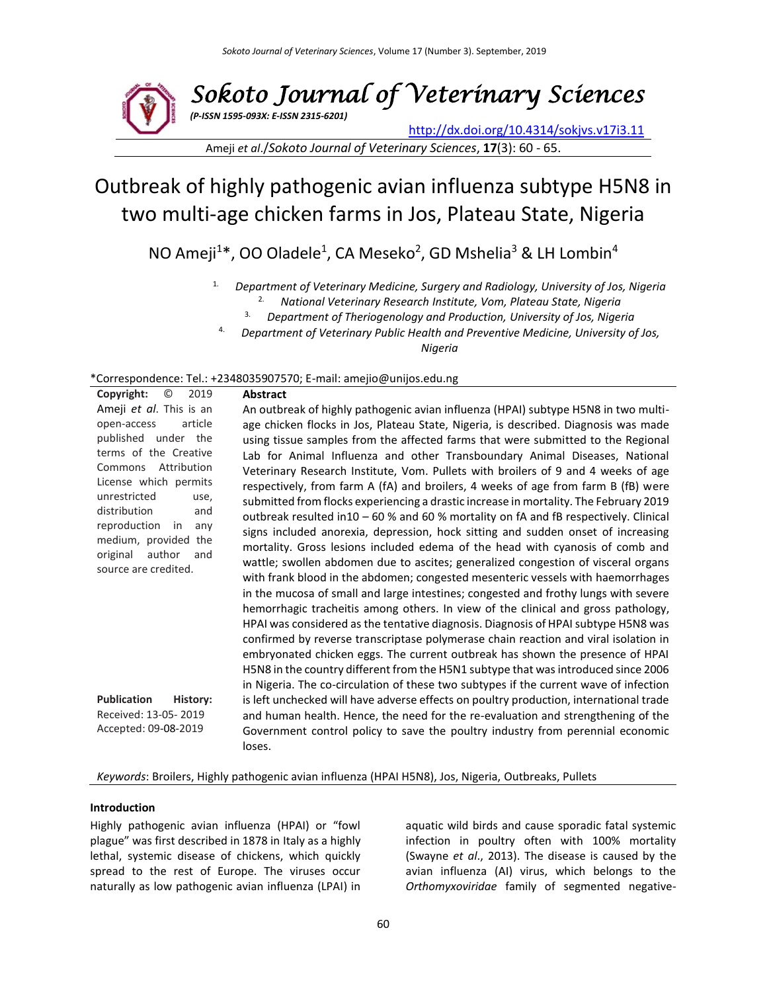

Outbreak of highly pathogenic avian influenza subtype H5N8 in two multi-age chicken farms in Jos, Plateau State, Nigeria

NO Ameji<sup>1\*</sup>, OO Oladele<sup>1</sup>, CA Meseko<sup>2</sup>, GD Mshelia<sup>3</sup> & LH Lombin<sup>4</sup>

1. *Department of Veterinary Medicine, Surgery and Radiology, University of Jos, Nigeria* 2. *National Veterinary Research Institute, Vom, Plateau State, Nigeria*

- 3. *Department of Theriogenology and Production, University of Jos, Nigeria*
- 4. *Department of Veterinary Public Health and Preventive Medicine, University of Jos, Nigeria*

## \*Correspondence: Tel.: +2348035907570; E-mail: amejio@unijos.edu.ng

|                                | ັ                                                                                      |
|--------------------------------|----------------------------------------------------------------------------------------|
| Copyright:<br>O<br>2019        | Abstract                                                                               |
| Ameji et al. This is an        | An outbreak of highly pathogenic avian influenza (HPAI) subtype H5N8 in two multi-     |
| article<br>open-access         | age chicken flocks in Jos, Plateau State, Nigeria, is described. Diagnosis was made    |
| published under the            | using tissue samples from the affected farms that were submitted to the Regional       |
| terms of the Creative          | Lab for Animal Influenza and other Transboundary Animal Diseases, National             |
| Commons Attribution            | Veterinary Research Institute, Vom. Pullets with broilers of 9 and 4 weeks of age      |
| License which permits          | respectively, from farm A (fA) and broilers, 4 weeks of age from farm B (fB) were      |
| unrestricted<br>use,           | submitted from flocks experiencing a drastic increase in mortality. The February 2019  |
| distribution<br>and            | outbreak resulted in 10 - 60 % and 60 % mortality on fA and fB respectively. Clinical  |
| reproduction<br>in<br>any      | signs included anorexia, depression, hock sitting and sudden onset of increasing       |
| medium, provided the           | mortality. Gross lesions included edema of the head with cyanosis of comb and          |
| author<br>original<br>and      | wattle; swollen abdomen due to ascites; generalized congestion of visceral organs      |
| source are credited.           | with frank blood in the abdomen; congested mesenteric vessels with haemorrhages        |
|                                | in the mucosa of small and large intestines; congested and frothy lungs with severe    |
|                                | hemorrhagic tracheitis among others. In view of the clinical and gross pathology,      |
|                                | HPAI was considered as the tentative diagnosis. Diagnosis of HPAI subtype H5N8 was     |
|                                | confirmed by reverse transcriptase polymerase chain reaction and viral isolation in    |
|                                | embryonated chicken eggs. The current outbreak has shown the presence of HPAI          |
|                                | H5N8 in the country different from the H5N1 subtype that was introduced since 2006     |
|                                | in Nigeria. The co-circulation of these two subtypes if the current wave of infection  |
| <b>Publication</b><br>History: | is left unchecked will have adverse effects on poultry production, international trade |
| Received: 13-05-2019           | and human health. Hence, the need for the re-evaluation and strengthening of the       |
| Accepted: 09-08-2019           | Government control policy to save the poultry industry from perennial economic         |
|                                |                                                                                        |
|                                | loses.                                                                                 |

*Keywords*: Broilers, Highly pathogenic avian influenza (HPAI H5N8), Jos, Nigeria, Outbreaks, Pullets

#### **Introduction**

Highly pathogenic avian influenza (HPAI) or "fowl plague" was first described in 1878 in Italy as a highly lethal, systemic disease of chickens, which quickly spread to the rest of Europe. The viruses occur naturally as low pathogenic avian influenza (LPAI) in aquatic wild birds and cause sporadic fatal systemic infection in poultry often with 100% mortality (Swayne *et al*., 2013). The disease is caused by the avian influenza (AI) virus, which belongs to the *Orthomyxoviridae* family of segmented negative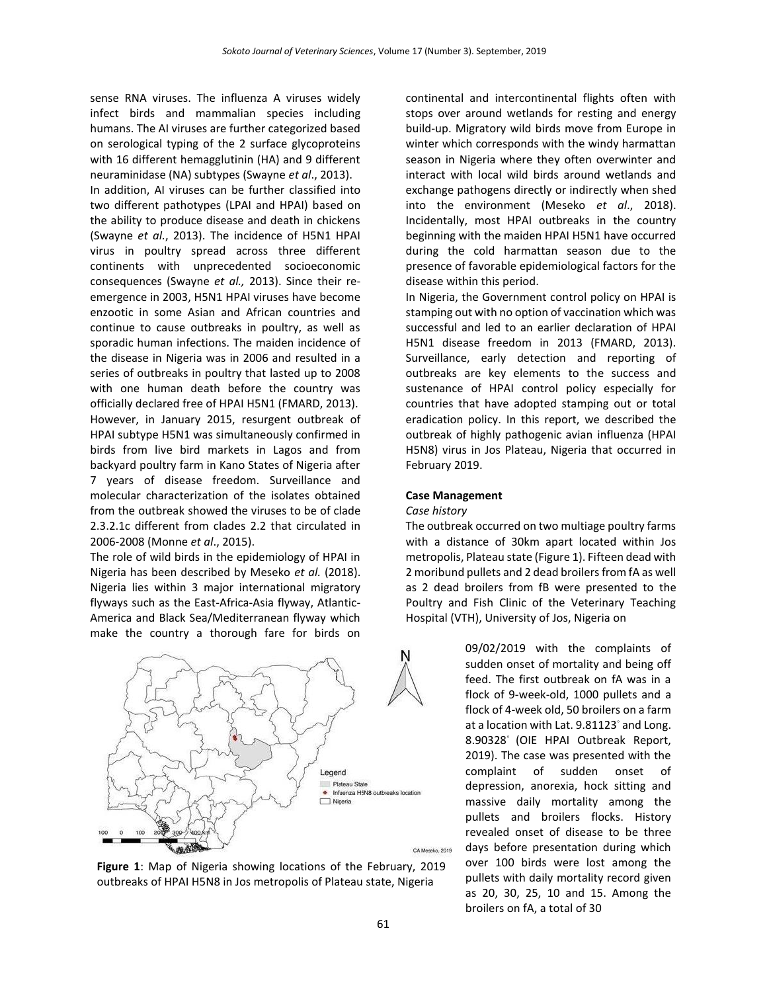sense RNA viruses. The influenza A viruses widely infect birds and mammalian species including humans. The AI viruses are further categorized based on serological typing of the 2 surface glycoproteins with 16 different hemagglutinin (HA) and 9 different neuraminidase (NA) subtypes (Swayne *et al*., 2013).

In addition, AI viruses can be further classified into two different pathotypes (LPAI and HPAI) based on the ability to produce disease and death in chickens (Swayne *et al.*, 2013). The incidence of H5N1 HPAI virus in poultry spread across three different continents with unprecedented socioeconomic consequences (Swayne *et al.,* 2013). Since their reemergence in 2003, H5N1 HPAI viruses have become enzootic in some Asian and African countries and continue to cause outbreaks in poultry, as well as sporadic human infections. The maiden incidence of the disease in Nigeria was in 2006 and resulted in a series of outbreaks in poultry that lasted up to 2008 with one human death before the country was officially declared free of HPAI H5N1 (FMARD, 2013). However, in January 2015, resurgent outbreak of HPAI subtype H5N1 was simultaneously confirmed in birds from live bird markets in Lagos and from backyard poultry farm in Kano States of Nigeria after 7 years of disease freedom. Surveillance and molecular characterization of the isolates obtained from the outbreak showed the viruses to be of clade 2.3.2.1c different from clades 2.2 that circulated in 2006-2008 (Monne *et al*., 2015).

The role of wild birds in the epidemiology of HPAI in Nigeria has been described by Meseko *et al.* (2018). Nigeria lies within 3 major international migratory flyways such as the East-Africa-Asia flyway, Atlantic-America and Black Sea/Mediterranean flyway which make the country a thorough fare for birds on



**Figure 1**: Map of Nigeria showing locations of the February, 2019 outbreaks of HPAI H5N8 in Jos metropolis of Plateau state, Nigeria

continental and intercontinental flights often with stops over around wetlands for resting and energy build-up. Migratory wild birds move from Europe in winter which corresponds with the windy harmattan season in Nigeria where they often overwinter and interact with local wild birds around wetlands and exchange pathogens directly or indirectly when shed into the environment (Meseko *et al*., 2018). Incidentally, most HPAI outbreaks in the country beginning with the maiden HPAI H5N1 have occurred during the cold harmattan season due to the presence of favorable epidemiological factors for the disease within this period.

In Nigeria, the Government control policy on HPAI is stamping out with no option of vaccination which was successful and led to an earlier declaration of HPAI H5N1 disease freedom in 2013 (FMARD, 2013). Surveillance, early detection and reporting of outbreaks are key elements to the success and sustenance of HPAI control policy especially for countries that have adopted stamping out or total eradication policy. In this report, we described the outbreak of highly pathogenic avian influenza (HPAI H5N8) virus in Jos Plateau, Nigeria that occurred in February 2019.

### **Case Management**

#### *Case history*

The outbreak occurred on two multiage poultry farms with a distance of 30km apart located within Jos metropolis, Plateau state (Figure 1). Fifteen dead with 2 moribund pullets and 2 dead broilers from fA as well as 2 dead broilers from fB were presented to the Poultry and Fish Clinic of the Veterinary Teaching Hospital (VTH), University of Jos, Nigeria on

> 09/02/2019 with the complaints of sudden onset of mortality and being off feed. The first outbreak on fA was in a flock of 9-week-old, 1000 pullets and a flock of 4-week old, 50 broilers on a farm at a location with Lat. 9.81123◦ and Long. 8.90328◦ (OIE HPAI Outbreak Report, 2019). The case was presented with the complaint of sudden onset of depression, anorexia, hock sitting and massive daily mortality among the pullets and broilers flocks. History revealed onset of disease to be three days before presentation during which over 100 birds were lost among the pullets with daily mortality record given as 20, 30, 25, 10 and 15. Among the broilers on fA, a total of 30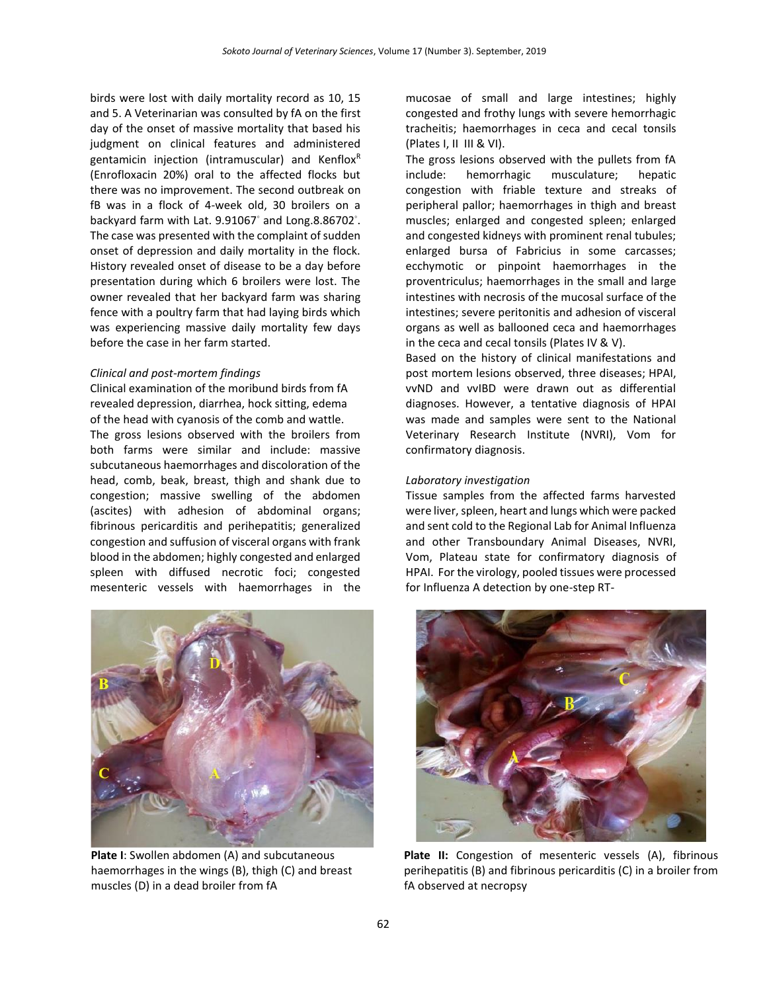birds were lost with daily mortality record as 10, 15 and 5. A Veterinarian was consulted by fA on the first day of the onset of massive mortality that based his judgment on clinical features and administered gentamicin injection (intramuscular) and Kenflox<sup>R</sup> (Enrofloxacin 20%) oral to the affected flocks but there was no improvement. The second outbreak on fB was in a flock of 4-week old, 30 broilers on a backyard farm with Lat. 9.91067° and Long.8.86702°. The case was presented with the complaint of sudden onset of depression and daily mortality in the flock. History revealed onset of disease to be a day before presentation during which 6 broilers were lost. The owner revealed that her backyard farm was sharing fence with a poultry farm that had laying birds which was experiencing massive daily mortality few days before the case in her farm started.

#### *Clinical and post-mortem findings*

Clinical examination of the moribund birds from fA revealed depression, diarrhea, hock sitting, edema of the head with cyanosis of the comb and wattle. The gross lesions observed with the broilers from both farms were similar and include: massive subcutaneous haemorrhages and discoloration of the head, comb, beak, breast, thigh and shank due to congestion; massive swelling of the abdomen (ascites) with adhesion of abdominal organs; fibrinous pericarditis and perihepatitis; generalized congestion and suffusion of visceral organs with frank blood in the abdomen; highly congested and enlarged spleen with diffused necrotic foci; congested mesenteric vessels with haemorrhages in the



**Plate I**: Swollen abdomen (A) and subcutaneous haemorrhages in the wings (B), thigh (C) and breast muscles (D) in a dead broiler from fA

mucosae of small and large intestines; highly congested and frothy lungs with severe hemorrhagic tracheitis; haemorrhages in ceca and cecal tonsils (Plates I, II III & VI).

The gross lesions observed with the pullets from fA include: hemorrhagic musculature; hepatic congestion with friable texture and streaks of peripheral pallor; haemorrhages in thigh and breast muscles; enlarged and congested spleen; enlarged and congested kidneys with prominent renal tubules; enlarged bursa of Fabricius in some carcasses; ecchymotic or pinpoint haemorrhages in the proventriculus; haemorrhages in the small and large intestines with necrosis of the mucosal surface of the intestines; severe peritonitis and adhesion of visceral organs as well as ballooned ceca and haemorrhages in the ceca and cecal tonsils (Plates IV & V).

Based on the history of clinical manifestations and post mortem lesions observed, three diseases; HPAI, vvND and vvIBD were drawn out as differential diagnoses. However, a tentative diagnosis of HPAI was made and samples were sent to the National Veterinary Research Institute (NVRI), Vom for confirmatory diagnosis.

## *Laboratory investigation*

Tissue samples from the affected farms harvested were liver, spleen, heart and lungs which were packed and sent cold to the Regional Lab for Animal Influenza and other Transboundary Animal Diseases, NVRI, Vom, Plateau state for confirmatory diagnosis of HPAI. For the virology, pooled tissues were processed for Influenza A detection by one-step RT-



**Plate II:** Congestion of mesenteric vessels (A), fibrinous perihepatitis (B) and fibrinous pericarditis (C) in a broiler from fA observed at necropsy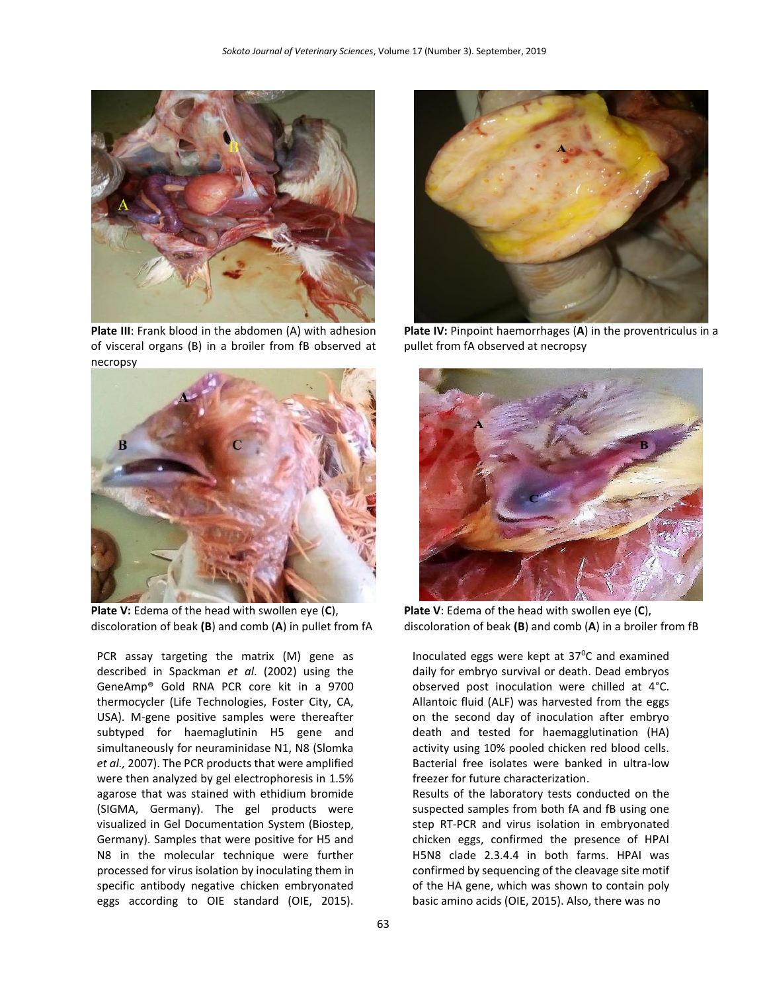

**Plate III**: Frank blood in the abdomen (A) with adhesion of visceral organs (B) in a broiler from fB observed at necropsy



**Plate V:** Edema of the head with swollen eye (**C**), discoloration of beak **(B**) and comb (**A**) in pullet from fA

PCR assay targeting the matrix (M) gene as described in Spackman *et al*. (2002) using the GeneAmp® Gold RNA PCR core kit in a 9700 thermocycler (Life Technologies, Foster City, CA, USA). M-gene positive samples were thereafter subtyped for haemaglutinin H5 gene and simultaneously for neuraminidase N1, N8 (Slomka *et al.,* 2007). The PCR products that were amplified were then analyzed by gel electrophoresis in 1.5% agarose that was stained with ethidium bromide (SIGMA, Germany). The gel products were visualized in Gel Documentation System (Biostep, Germany). Samples that were positive for H5 and N8 in the molecular technique were further processed for virus isolation by inoculating them in specific antibody negative chicken embryonated eggs according to OIE standard (OIE, 2015).



**Plate IV:** Pinpoint haemorrhages (**A**) in the proventriculus in a pullet from fA observed at necropsy



**Plate V**: Edema of the head with swollen eye (**C**), discoloration of beak **(B**) and comb (**A**) in a broiler from fB

Inoculated eggs were kept at  $37^{\circ}$ C and examined daily for embryo survival or death. Dead embryos observed post inoculation were chilled at 4°C. Allantoic fluid (ALF) was harvested from the eggs on the second day of inoculation after embryo death and tested for haemagglutination (HA) activity using 10% pooled chicken red blood cells. Bacterial free isolates were banked in ultra-low freezer for future characterization.

Results of the laboratory tests conducted on the suspected samples from both fA and fB using one step RT-PCR and virus isolation in embryonated chicken eggs, confirmed the presence of HPAI H5N8 clade 2.3.4.4 in both farms. HPAI was confirmed by sequencing of the cleavage site motif of the HA gene, which was shown to contain poly basic amino acids (OIE, 2015). Also, there was no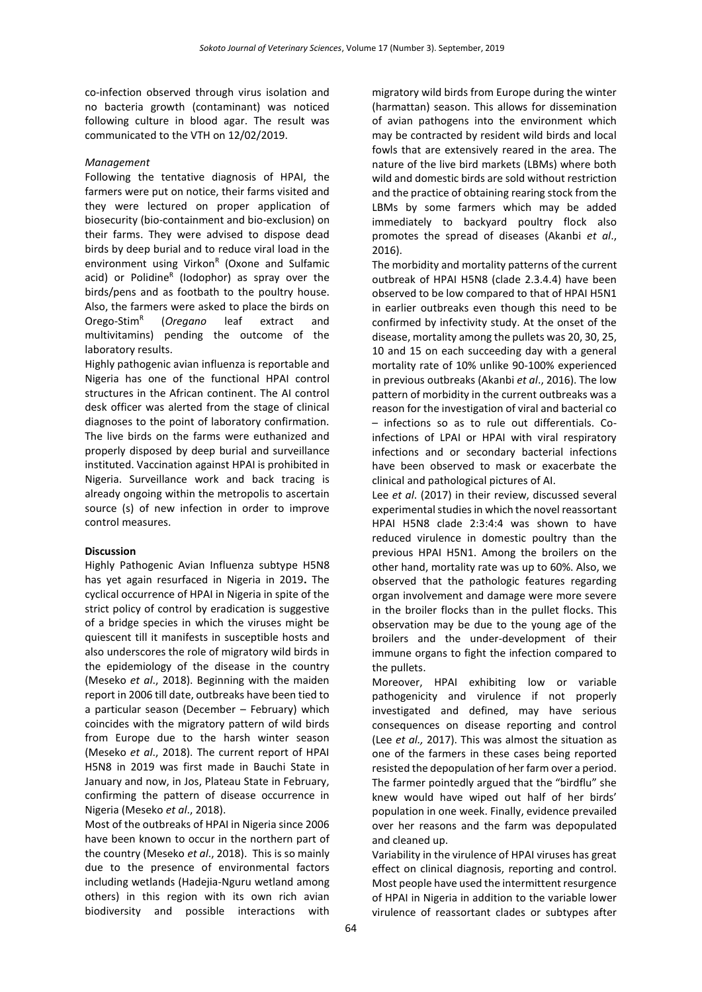co-infection observed through virus isolation and no bacteria growth (contaminant) was noticed following culture in blood agar. The result was communicated to the VTH on 12/02/2019.

### *Management*

Following the tentative diagnosis of HPAI, the farmers were put on notice, their farms visited and they were lectured on proper application of biosecurity (bio-containment and bio-exclusion) on their farms. They were advised to dispose dead birds by deep burial and to reduce viral load in the environment using Virkon<sup>R</sup> (Oxone and Sulfamic acid) or Polidine<sup>R</sup> (Iodophor) as spray over the birds/pens and as footbath to the poultry house. Also, the farmers were asked to place the birds on Orego-Stim<sup>R</sup> (*Oregano* leaf extract and multivitamins) pending the outcome of the laboratory results.

Highly pathogenic avian influenza is reportable and Nigeria has one of the functional HPAI control structures in the African continent. The AI control desk officer was alerted from the stage of clinical diagnoses to the point of laboratory confirmation. The live birds on the farms were euthanized and properly disposed by deep burial and surveillance instituted. Vaccination against HPAI is prohibited in Nigeria. Surveillance work and back tracing is already ongoing within the metropolis to ascertain source (s) of new infection in order to improve control measures.

# **Discussion**

Highly Pathogenic Avian Influenza subtype H5N8 has yet again resurfaced in Nigeria in 2019**.** The cyclical occurrence of HPAI in Nigeria in spite of the strict policy of control by eradication is suggestive of a bridge species in which the viruses might be quiescent till it manifests in susceptible hosts and also underscores the role of migratory wild birds in the epidemiology of the disease in the country (Meseko *et al*., 2018). Beginning with the maiden report in 2006 till date, outbreaks have been tied to a particular season (December – February) which coincides with the migratory pattern of wild birds from Europe due to the harsh winter season (Meseko *et al*., 2018). The current report of HPAI H5N8 in 2019 was first made in Bauchi State in January and now, in Jos, Plateau State in February, confirming the pattern of disease occurrence in Nigeria (Meseko *et al*., 2018).

Most of the outbreaks of HPAI in Nigeria since 2006 have been known to occur in the northern part of the country (Meseko *et al*., 2018). This is so mainly due to the presence of environmental factors including wetlands (Hadejia-Nguru wetland among others) in this region with its own rich avian biodiversity and possible interactions with

migratory wild birds from Europe during the winter (harmattan) season. This allows for dissemination of avian pathogens into the environment which may be contracted by resident wild birds and local fowls that are extensively reared in the area. The nature of the live bird markets (LBMs) where both wild and domestic birds are sold without restriction and the practice of obtaining rearing stock from the LBMs by some farmers which may be added immediately to backyard poultry flock also promotes the spread of diseases (Akanbi *et al*., 2016).

The morbidity and mortality patterns of the current outbreak of HPAI H5N8 (clade 2.3.4.4) have been observed to be low compared to that of HPAI H5N1 in earlier outbreaks even though this need to be confirmed by infectivity study. At the onset of the disease, mortality among the pullets was 20, 30, 25, 10 and 15 on each succeeding day with a general mortality rate of 10% unlike 90-100% experienced in previous outbreaks (Akanbi *et al*., 2016). The low pattern of morbidity in the current outbreaks was a reason for the investigation of viral and bacterial co – infections so as to rule out differentials. Coinfections of LPAI or HPAI with viral respiratory infections and or secondary bacterial infections have been observed to mask or exacerbate the clinical and pathological pictures of AI.

Lee *et al*. (2017) in their review, discussed several experimental studies in which the novel reassortant HPAI H5N8 clade 2:3:4:4 was shown to have reduced virulence in domestic poultry than the previous HPAI H5N1. Among the broilers on the other hand, mortality rate was up to 60%. Also, we observed that the pathologic features regarding organ involvement and damage were more severe in the broiler flocks than in the pullet flocks. This observation may be due to the young age of the broilers and the under-development of their immune organs to fight the infection compared to the pullets.

Moreover, HPAI exhibiting low or variable pathogenicity and virulence if not properly investigated and defined, may have serious consequences on disease reporting and control (Lee *et al.,* 2017). This was almost the situation as one of the farmers in these cases being reported resisted the depopulation of her farm over a period. The farmer pointedly argued that the "birdflu" she knew would have wiped out half of her birds' population in one week. Finally, evidence prevailed over her reasons and the farm was depopulated and cleaned up.

Variability in the virulence of HPAI viruses has great effect on clinical diagnosis, reporting and control. Most people have used the intermittent resurgence of HPAI in Nigeria in addition to the variable lower virulence of reassortant clades or subtypes after